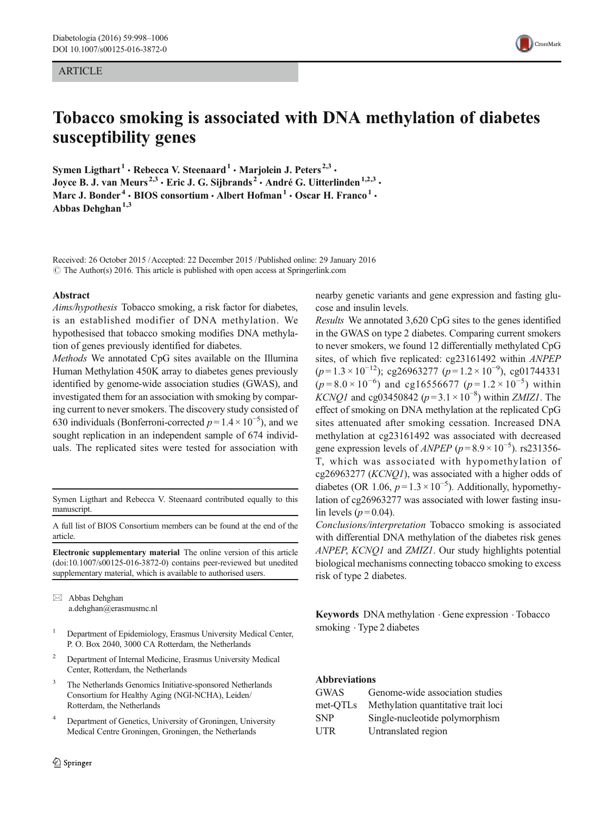#### ARTICLE

# Tobacco smoking is associated with DNA methylation of diabetes susceptibility genes

Symen Ligthart<sup>1</sup>  $\cdot$  Rebecca V. Steenaard<sup>1</sup>  $\cdot$  Marjolein J. Peters<sup>2,3</sup>  $\cdot$ Joyce B. J. van Meurs<sup>2,3</sup>  $\cdot$  Eric J. G. Sijbrands<sup>2</sup>  $\cdot$  André G. Uitterlinden<sup>1,2,3</sup>  $\cdot$ Marc J. Bonder<sup>4</sup> · BIOS consortium · Albert Hofman<sup>1</sup> · Oscar H. Franco<sup>1</sup> · Abbas Dehghan $1,3$ 

Received: 26 October 2015 /Accepted: 22 December 2015 /Published online: 29 January 2016  $\odot$  The Author(s) 2016. This article is published with open access at Springerlink.com

#### Abstract

Aims/hypothesis Tobacco smoking, a risk factor for diabetes, is an established modifier of DNA methylation. We hypothesised that tobacco smoking modifies DNA methylation of genes previously identified for diabetes.

Methods We annotated CpG sites available on the Illumina Human Methylation 450K array to diabetes genes previously identified by genome-wide association studies (GWAS), and investigated them for an association with smoking by comparing current to never smokers. The discovery study consisted of 630 individuals (Bonferroni-corrected  $p = 1.4 \times 10^{-5}$ ), and we sought replication in an independent sample of 674 individuals. The replicated sites were tested for association with

Symen Ligthart and Rebecca V. Steenaard contributed equally to this manuscript.

A full list of BIOS Consortium members can be found at the end of the article.

Electronic supplementary material The online version of this article (doi[:10.1007/s00125-016-3872-0\)](http://dx.doi.org/) contains peer-reviewed but unedited supplementary material, which is available to authorised users.

 $\boxtimes$  Abbas Dehghan a.dehghan@erasmusmc.nl

- <sup>1</sup> Department of Epidemiology, Erasmus University Medical Center, P. O. Box 2040, 3000 CA Rotterdam, the Netherlands
- <sup>2</sup> Department of Internal Medicine, Erasmus University Medical Center, Rotterdam, the Netherlands
- The Netherlands Genomics Initiative-sponsored Netherlands Consortium for Healthy Aging (NGI-NCHA), Leiden/ Rotterdam, the Netherlands
- <sup>4</sup> Department of Genetics, University of Groningen, University Medical Centre Groningen, Groningen, the Netherlands

nearby genetic variants and gene expression and fasting glucose and insulin levels.

Results We annotated 3,620 CpG sites to the genes identified in the GWAS on type 2 diabetes. Comparing current smokers to never smokers, we found 12 differentially methylated CpG sites, of which five replicated: cg23161492 within ANPEP  $(p=1.3 \times 10^{-12})$ ; cg26963277  $(p=1.2 \times 10^{-9})$ , cg01744331  $(p=8.0 \times 10^{-6})$  and cg16556677  $(p=1.2 \times 10^{-5})$  within *KCNQ1* and cg03450842 ( $p = 3.1 \times 10^{-8}$ ) within *ZMIZ1*. The effect of smoking on DNA methylation at the replicated CpG sites attenuated after smoking cessation. Increased DNA methylation at cg23161492 was associated with decreased gene expression levels of *ANPEP* ( $p = 8.9 \times 10^{-5}$ ). rs231356-T, which was associated with hypomethylation of cg26963277 (KCNQ1), was associated with a higher odds of diabetes (OR 1.06,  $p=1.3 \times 10^{-5}$ ). Additionally, hypomethylation of cg26963277 was associated with lower fasting insulin levels ( $p = 0.04$ ).

Conclusions/interpretation Tobacco smoking is associated with differential DNA methylation of the diabetes risk genes ANPEP, KCNQ1 and ZMIZ1. Our study highlights potential biological mechanisms connecting tobacco smoking to excess risk of type 2 diabetes.

Keywords DNA methylation . Gene expression . Tobacco smoking . Type 2 diabetes

### Abbreviations

| <b>GWAS</b> | Genome-wide association studies     |
|-------------|-------------------------------------|
| met-OTLs    | Methylation quantitative trait loci |
| <b>SNP</b>  | Single-nucleotide polymorphism      |
| UTR         | Untranslated region                 |

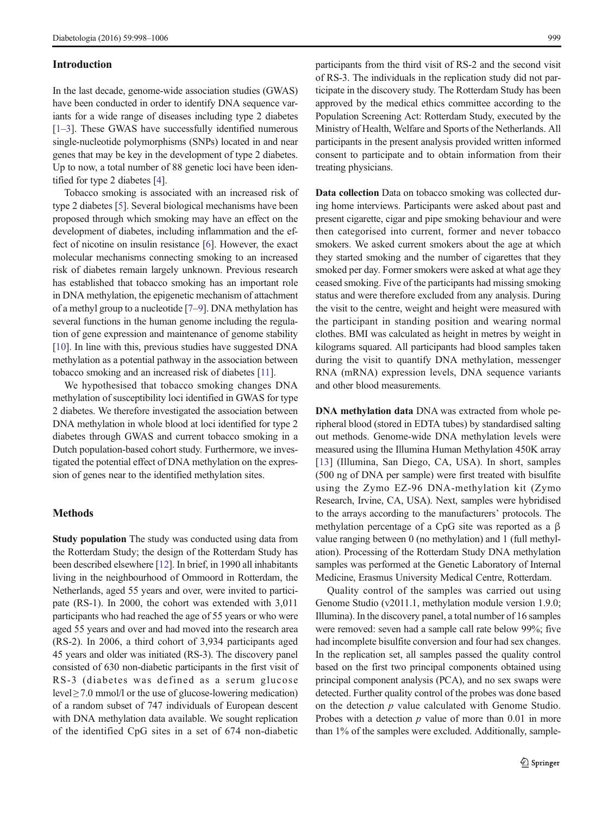#### Introduction

In the last decade, genome-wide association studies (GWAS) have been conducted in order to identify DNA sequence variants for a wide range of diseases including type 2 diabetes [\[1](#page-7-0)–[3\]](#page-7-0). These GWAS have successfully identified numerous single-nucleotide polymorphisms (SNPs) located in and near genes that may be key in the development of type 2 diabetes. Up to now, a total number of 88 genetic loci have been identified for type 2 diabetes [\[4\]](#page-7-0).

Tobacco smoking is associated with an increased risk of type 2 diabetes [[5](#page-7-0)]. Several biological mechanisms have been proposed through which smoking may have an effect on the development of diabetes, including inflammation and the effect of nicotine on insulin resistance [[6\]](#page-7-0). However, the exact molecular mechanisms connecting smoking to an increased risk of diabetes remain largely unknown. Previous research has established that tobacco smoking has an important role in DNA methylation, the epigenetic mechanism of attachment of a methyl group to a nucleotide [\[7](#page-7-0)–[9](#page-7-0)]. DNA methylation has several functions in the human genome including the regulation of gene expression and maintenance of genome stability [\[10\]](#page-7-0). In line with this, previous studies have suggested DNA methylation as a potential pathway in the association between tobacco smoking and an increased risk of diabetes [[11](#page-7-0)].

We hypothesised that tobacco smoking changes DNA methylation of susceptibility loci identified in GWAS for type 2 diabetes. We therefore investigated the association between DNA methylation in whole blood at loci identified for type 2 diabetes through GWAS and current tobacco smoking in a Dutch population-based cohort study. Furthermore, we investigated the potential effect of DNA methylation on the expression of genes near to the identified methylation sites.

## **Methods**

Study population The study was conducted using data from the Rotterdam Study; the design of the Rotterdam Study has been described elsewhere [\[12\]](#page-7-0). In brief, in 1990 all inhabitants living in the neighbourhood of Ommoord in Rotterdam, the Netherlands, aged 55 years and over, were invited to participate (RS-1). In 2000, the cohort was extended with 3,011 participants who had reached the age of 55 years or who were aged 55 years and over and had moved into the research area (RS-2). In 2006, a third cohort of 3,934 participants aged 45 years and older was initiated (RS-3). The discovery panel consisted of 630 non-diabetic participants in the first visit of RS-3 (diabetes was defined as a serum glucose level  $\geq$  7.0 mmol/l or the use of glucose-lowering medication) of a random subset of 747 individuals of European descent with DNA methylation data available. We sought replication of the identified CpG sites in a set of 674 non-diabetic participants from the third visit of RS-2 and the second visit of RS-3. The individuals in the replication study did not participate in the discovery study. The Rotterdam Study has been approved by the medical ethics committee according to the Population Screening Act: Rotterdam Study, executed by the Ministry of Health, Welfare and Sports of the Netherlands. All participants in the present analysis provided written informed consent to participate and to obtain information from their treating physicians.

Data collection Data on tobacco smoking was collected during home interviews. Participants were asked about past and present cigarette, cigar and pipe smoking behaviour and were then categorised into current, former and never tobacco smokers. We asked current smokers about the age at which they started smoking and the number of cigarettes that they smoked per day. Former smokers were asked at what age they ceased smoking. Five of the participants had missing smoking status and were therefore excluded from any analysis. During the visit to the centre, weight and height were measured with the participant in standing position and wearing normal clothes. BMI was calculated as height in metres by weight in kilograms squared. All participants had blood samples taken during the visit to quantify DNA methylation, messenger RNA (mRNA) expression levels, DNA sequence variants and other blood measurements.

DNA methylation data DNA was extracted from whole peripheral blood (stored in EDTA tubes) by standardised salting out methods. Genome-wide DNA methylation levels were measured using the Illumina Human Methylation 450K array [\[13\]](#page-7-0) (Illumina, San Diego, CA, USA). In short, samples (500 ng of DNA per sample) were first treated with bisulfite using the Zymo EZ-96 DNA-methylation kit (Zymo Research, Irvine, CA, USA). Next, samples were hybridised to the arrays according to the manufacturers' protocols. The methylation percentage of a CpG site was reported as a β value ranging between 0 (no methylation) and 1 (full methylation). Processing of the Rotterdam Study DNA methylation samples was performed at the Genetic Laboratory of Internal Medicine, Erasmus University Medical Centre, Rotterdam.

Quality control of the samples was carried out using Genome Studio (v2011.1, methylation module version 1.9.0; Illumina). In the discovery panel, a total number of 16 samples were removed: seven had a sample call rate below 99%; five had incomplete bisulfite conversion and four had sex changes. In the replication set, all samples passed the quality control based on the first two principal components obtained using principal component analysis (PCA), and no sex swaps were detected. Further quality control of the probes was done based on the detection  $p$  value calculated with Genome Studio. Probes with a detection  $p$  value of more than 0.01 in more than 1% of the samples were excluded. Additionally, sample-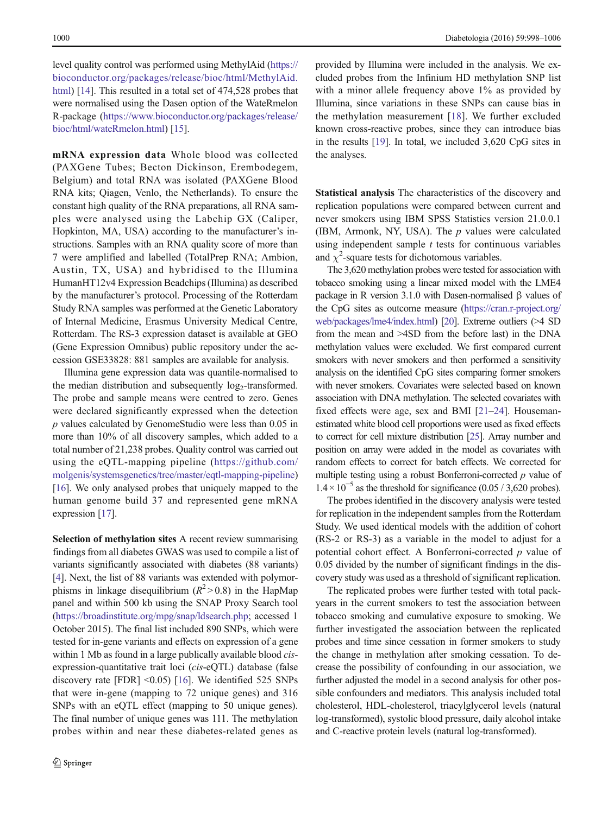level quality control was performed using MethylAid [\(https://](https://bioconductor.org/packages/release/bioc/html/MethylAid.html) [bioconductor.org/packages/release/bioc/html/MethylAid.](https://bioconductor.org/packages/release/bioc/html/MethylAid.html) [html\)](https://bioconductor.org/packages/release/bioc/html/MethylAid.html) [[14\]](#page-7-0). This resulted in a total set of 474,528 probes that were normalised using the Dasen option of the WateRmelon R-package [\(https://www.bioconductor.org/packages/release/](https://www.bioconductor.org/packages/release/bioc/html/wateRmelon.html) [bioc/html/wateRmelon.html\)](https://www.bioconductor.org/packages/release/bioc/html/wateRmelon.html) [[15](#page-7-0)].

mRNA expression data Whole blood was collected (PAXGene Tubes; Becton Dickinson, Erembodegem, Belgium) and total RNA was isolated (PAXGene Blood RNA kits; Qiagen, Venlo, the Netherlands). To ensure the constant high quality of the RNA preparations, all RNA samples were analysed using the Labchip GX (Caliper, Hopkinton, MA, USA) according to the manufacturer's instructions. Samples with an RNA quality score of more than 7 were amplified and labelled (TotalPrep RNA; Ambion, Austin, TX, USA) and hybridised to the Illumina HumanHT12v4 Expression Beadchips (Illumina) as described by the manufacturer's protocol. Processing of the Rotterdam Study RNA samples was performed at the Genetic Laboratory of Internal Medicine, Erasmus University Medical Centre, Rotterdam. The RS-3 expression dataset is available at GEO (Gene Expression Omnibus) public repository under the accession GSE33828: 881 samples are available for analysis.

Illumina gene expression data was quantile-normalised to the median distribution and subsequently  $log_2$ -transformed. The probe and sample means were centred to zero. Genes were declared significantly expressed when the detection p values calculated by GenomeStudio were less than 0.05 in more than 10% of all discovery samples, which added to a total number of 21,238 probes. Quality control was carried out using the eQTL-mapping pipeline ([https://github.com/](https://github.com/molgenis/systemsgenetics/tree/master/eqtl-mapping-pipeline) [molgenis/systemsgenetics/tree/master/eqtl-mapping-pipeline\)](https://github.com/molgenis/systemsgenetics/tree/master/eqtl-mapping-pipeline) [\[16\]](#page-7-0). We only analysed probes that uniquely mapped to the human genome build 37 and represented gene mRNA expression [\[17\]](#page-7-0).

Selection of methylation sites A recent review summarising findings from all diabetes GWAS was used to compile a list of variants significantly associated with diabetes (88 variants) [\[4](#page-7-0)]. Next, the list of 88 variants was extended with polymorphisms in linkage disequilibrium  $(R^2 > 0.8)$  in the HapMap panel and within 500 kb using the SNAP Proxy Search tool [\(https://broadinstitute.org/mpg/snap/ldsearch.php;](https://broadinstitute.org/mpg/snap/ldsearch.php) accessed 1 October 2015). The final list included 890 SNPs, which were tested for in-gene variants and effects on expression of a gene within 1 Mb as found in a large publically available blood *cis*expression-quantitative trait loci (cis-eQTL) database (false discovery rate  $[FDR] < 0.05$  [\[16](#page-7-0)]. We identified 525 SNPs that were in-gene (mapping to 72 unique genes) and 316 SNPs with an eQTL effect (mapping to 50 unique genes). The final number of unique genes was 111. The methylation probes within and near these diabetes-related genes as provided by Illumina were included in the analysis. We excluded probes from the Infinium HD methylation SNP list with a minor allele frequency above 1% as provided by Illumina, since variations in these SNPs can cause bias in the methylation measurement [[18\]](#page-7-0). We further excluded known cross-reactive probes, since they can introduce bias in the results [\[19\]](#page-8-0). In total, we included 3,620 CpG sites in the analyses.

Statistical analysis The characteristics of the discovery and replication populations were compared between current and never smokers using IBM SPSS Statistics version 21.0.0.1 (IBM, Armonk, NY, USA). The  $p$  values were calculated using independent sample  $t$  tests for continuous variables and  $\chi^2$ -square tests for dichotomous variables.

The 3,620 methylation probes were tested for association with tobacco smoking using a linear mixed model with the LME4 package in R version 3.1.0 with Dasen-normalised β values of the CpG sites as outcome measure [\(https://cran.r-project.org/](https://cran.r-project.org/web/packages/lme4/index.html) [web/packages/lme4/index.html](https://cran.r-project.org/web/packages/lme4/index.html)) [\[20](#page-8-0)]. Extreme outliers (>4 SD from the mean and >4SD from the before last) in the DNA methylation values were excluded. We first compared current smokers with never smokers and then performed a sensitivity analysis on the identified CpG sites comparing former smokers with never smokers. Covariates were selected based on known association with DNA methylation. The selected covariates with fixed effects were age, sex and BMI [\[21](#page-8-0)–[24](#page-8-0)]. Housemanestimated white blood cell proportions were used as fixed effects to correct for cell mixture distribution [\[25](#page-8-0)]. Array number and position on array were added in the model as covariates with random effects to correct for batch effects. We corrected for multiple testing using a robust Bonferroni-corrected  $p$  value of  $1.4 \times 10^{-5}$  as the threshold for significance (0.05 / 3,620 probes).

The probes identified in the discovery analysis were tested for replication in the independent samples from the Rotterdam Study. We used identical models with the addition of cohort (RS-2 or RS-3) as a variable in the model to adjust for a potential cohort effect. A Bonferroni-corrected  $p$  value of 0.05 divided by the number of significant findings in the discovery study was used as a threshold of significant replication.

The replicated probes were further tested with total packyears in the current smokers to test the association between tobacco smoking and cumulative exposure to smoking. We further investigated the association between the replicated probes and time since cessation in former smokers to study the change in methylation after smoking cessation. To decrease the possibility of confounding in our association, we further adjusted the model in a second analysis for other possible confounders and mediators. This analysis included total cholesterol, HDL-cholesterol, triacylglycerol levels (natural log-transformed), systolic blood pressure, daily alcohol intake and C-reactive protein levels (natural log-transformed).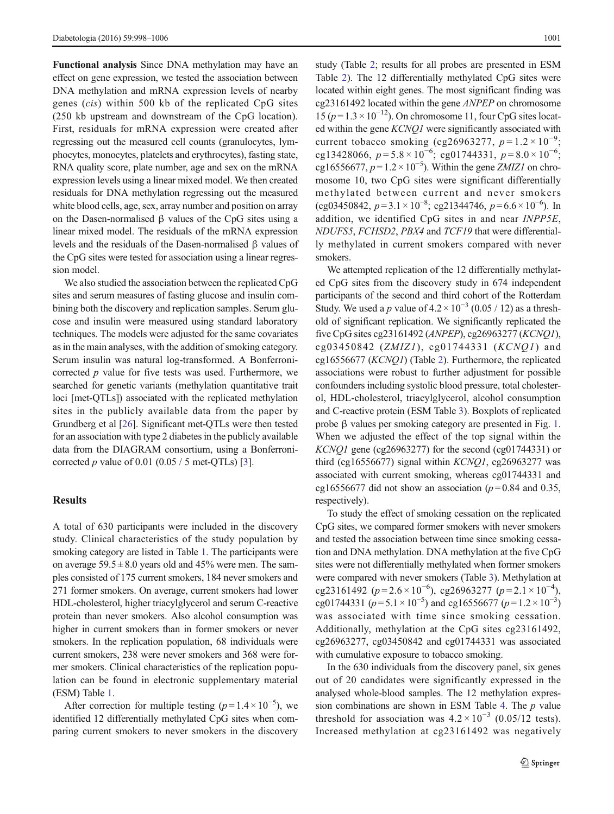Functional analysis Since DNA methylation may have an effect on gene expression, we tested the association between DNA methylation and mRNA expression levels of nearby genes (cis) within 500 kb of the replicated CpG sites (250 kb upstream and downstream of the CpG location). First, residuals for mRNA expression were created after regressing out the measured cell counts (granulocytes, lymphocytes, monocytes, platelets and erythrocytes), fasting state, RNA quality score, plate number, age and sex on the mRNA expression levels using a linear mixed model. We then created residuals for DNA methylation regressing out the measured white blood cells, age, sex, array number and position on array on the Dasen-normalised β values of the CpG sites using a linear mixed model. The residuals of the mRNA expression levels and the residuals of the Dasen-normalised β values of the CpG sites were tested for association using a linear regression model.

We also studied the association between the replicated CpG sites and serum measures of fasting glucose and insulin combining both the discovery and replication samples. Serum glucose and insulin were measured using standard laboratory techniques. The models were adjusted for the same covariates as in the main analyses, with the addition of smoking category. Serum insulin was natural log-transformed. A Bonferronicorrected  $p$  value for five tests was used. Furthermore, we searched for genetic variants (methylation quantitative trait loci [met-QTLs]) associated with the replicated methylation sites in the publicly available data from the paper by Grundberg et al [[26\]](#page-8-0). Significant met-QTLs were then tested for an association with type 2 diabetes in the publicly available data from the DIAGRAM consortium, using a Bonferronicorrected  $p$  value of 0.01 (0.05 / 5 met-QTLs) [\[3\]](#page-7-0).

## **Results**

A total of 630 participants were included in the discovery study. Clinical characteristics of the study population by smoking category are listed in Table [1.](#page-4-0) The participants were on average  $59.5 \pm 8.0$  years old and 45% were men. The samples consisted of 175 current smokers, 184 never smokers and 271 former smokers. On average, current smokers had lower HDL-cholesterol, higher triacylglycerol and serum C-reactive protein than never smokers. Also alcohol consumption was higher in current smokers than in former smokers or never smokers. In the replication population, 68 individuals were current smokers, 238 were never smokers and 368 were former smokers. Clinical characteristics of the replication population can be found in electronic supplementary material (ESM) Table 1.

After correction for multiple testing  $(p=1.4 \times 10^{-5})$ , we identified 12 differentially methylated CpG sites when comparing current smokers to never smokers in the discovery study (Table [2](#page-4-0); results for all probes are presented in ESM Table 2). The 12 differentially methylated CpG sites were located within eight genes. The most significant finding was cg23161492 located within the gene ANPEP on chromosome 15 ( $p = 1.3 \times 10^{-12}$ ). On chromosome 11, four CpG sites located within the gene KCNQ1 were significantly associated with current tobacco smoking (cg26963277,  $p=1.2\times10^{-9}$ ; cg13428066,  $p = 5.8 \times 10^{-6}$ ; cg01744331,  $p = 8.0 \times 10^{-6}$ ; cg16556677,  $p = 1.2 \times 10^{-5}$ ). Within the gene ZMIZ1 on chromosome 10, two CpG sites were significant differentially methylated between current and never smokers  $(cg03450842, p=3.1 \times 10^{-8}; cg21344746, p=6.6 \times 10^{-6})$ . In addition, we identified CpG sites in and near INPP5E, NDUFS5, FCHSD2, PBX4 and TCF19 that were differentially methylated in current smokers compared with never smokers.

We attempted replication of the 12 differentially methylated CpG sites from the discovery study in 674 independent participants of the second and third cohort of the Rotterdam Study. We used a p value of  $4.2 \times 10^{-3}$  (0.05 / 12) as a threshold of significant replication. We significantly replicated the five CpG sites cg23161492 (ANPEP), cg26963277 (KCNQ1), cg03450842 (ZMIZ1), cg01744331 (KCNQ1) and cg16556677 (KCNQ1) (Table [2](#page-4-0)). Furthermore, the replicated associations were robust to further adjustment for possible confounders including systolic blood pressure, total cholesterol, HDL-cholesterol, triacylglycerol, alcohol consumption and C-reactive protein (ESM Table 3). Boxplots of replicated probe β values per smoking category are presented in Fig. [1.](#page-5-0) When we adjusted the effect of the top signal within the  $KCNQ1$  gene (cg26963277) for the second (cg01744331) or third (cg16556677) signal within  $KCNQ1$ , cg26963277 was associated with current smoking, whereas cg01744331 and cg16556677 did not show an association ( $p = 0.84$  and 0.35, respectively).

To study the effect of smoking cessation on the replicated CpG sites, we compared former smokers with never smokers and tested the association between time since smoking cessation and DNA methylation. DNA methylation at the five CpG sites were not differentially methylated when former smokers were compared with never smokers (Table [3](#page-6-0)). Methylation at cg23161492 ( $p = 2.6 \times 10^{-6}$ ), cg26963277 ( $p = 2.1 \times 10^{-4}$ ), cg01744331 ( $p = 5.1 \times 10^{-5}$ ) and cg16556677 ( $p = 1.2 \times 10^{-3}$ ) was associated with time since smoking cessation. Additionally, methylation at the CpG sites cg23161492, cg26963277, cg03450842 and cg01744331 was associated with cumulative exposure to tobacco smoking.

In the 630 individuals from the discovery panel, six genes out of 20 candidates were significantly expressed in the analysed whole-blood samples. The 12 methylation expression combinations are shown in ESM Table 4. The  $p$  value threshold for association was  $4.2 \times 10^{-3}$  (0.05/12 tests). Increased methylation at cg23161492 was negatively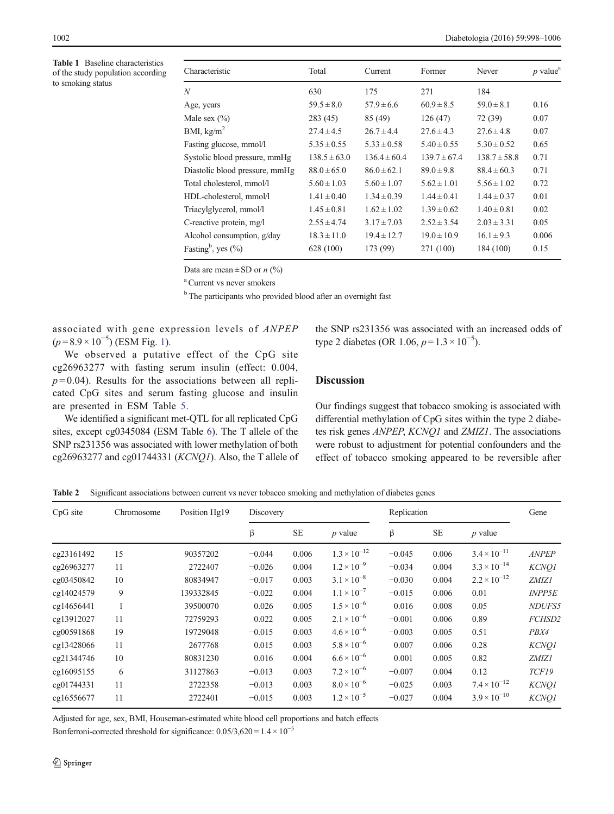<span id="page-4-0"></span>Table 1 Baseline characteristics of the study population according to smoking status

| Characteristic                     | Total            | Current          | Former           | Never            | $p$ value <sup>a</sup> |
|------------------------------------|------------------|------------------|------------------|------------------|------------------------|
| N                                  | 630              | 175              | 271              | 184              |                        |
| Age, years                         | $59.5 \pm 8.0$   | $57.9 \pm 6.6$   | $60.9 \pm 8.5$   | $59.0 \pm 8.1$   | 0.16                   |
| Male sex $(\% )$                   | 283 (45)         | 85 (49)          | 126(47)          | 72 (39)          | 0.07                   |
| BMI, $kg/m2$                       | $27.4 \pm 4.5$   | $26.7 \pm 4.4$   | $27.6 \pm 4.3$   | $27.6 \pm 4.8$   | 0.07                   |
| Fasting glucose, mmol/l            | $5.35 \pm 0.55$  | $5.33 \pm 0.58$  | $5.40 \pm 0.55$  | $5.30 \pm 0.52$  | 0.65                   |
| Systolic blood pressure, mmHg      | $138.5 \pm 63.0$ | $136.4 \pm 60.4$ | $139.7 \pm 67.4$ | $138.7 \pm 58.8$ | 0.71                   |
| Diastolic blood pressure, mmHg     | $88.0 \pm 65.0$  | $86.0 \pm 62.1$  | $89.0 \pm 9.8$   | $88.4 \pm 60.3$  | 0.71                   |
| Total cholesterol, mmol/l          | $5.60 \pm 1.03$  | $5.60 \pm 1.07$  | $5.62 \pm 1.01$  | $5.56 \pm 1.02$  | 0.72                   |
| HDL-cholesterol, mmol/l            | $1.41 \pm 0.40$  | $1.34 \pm 0.39$  | $1.44 \pm 0.41$  | $1.44 \pm 0.37$  | 0.01                   |
| Triacylglycerol, mmol/l            | $1.45 \pm 0.81$  | $1.62 \pm 1.02$  | $1.39 \pm 0.62$  | $1.40 \pm 0.81$  | 0.02                   |
| C-reactive protein, mg/l           | $2.55 \pm 4.74$  | $3.17 \pm 7.03$  | $2.52 \pm 3.54$  | $2.03 \pm 3.31$  | 0.05                   |
| Alcohol consumption, g/day         | $18.3 \pm 11.0$  | $19.4 \pm 12.7$  | $19.0 \pm 10.9$  | $16.1 \pm 9.3$   | 0.006                  |
| Fasting <sup>b</sup> , yes $(\%$ ) | 628 (100)        | 173 (99)         | 271 (100)        | 184 (100)        | 0.15                   |

Data are mean  $\pm$  SD or *n* (%)

a Current vs never smokers

<sup>b</sup> The participants who provided blood after an overnight fast

associated with gene expression levels of ANPEP  $(p=8.9\times10^{-5})$  (ESM Fig. 1).

We observed a putative effect of the CpG site cg26963277 with fasting serum insulin (effect: 0.004,  $p=0.04$ ). Results for the associations between all replicated CpG sites and serum fasting glucose and insulin are presented in ESM Table 5.

We identified a significant met-QTL for all replicated CpG sites, except cg0345084 (ESM Table 6). The T allele of the SNP rs231356 was associated with lower methylation of both cg26963277 and cg01744331 ( $KCNQI$ ). Also, the T allele of the SNP rs231356 was associated with an increased odds of type 2 diabetes (OR 1.06,  $p = 1.3 \times 10^{-5}$ ).

## **Discussion**

Our findings suggest that tobacco smoking is associated with differential methylation of CpG sites within the type 2 diabetes risk genes ANPEP, KCNQ1 and ZMIZ1. The associations were robust to adjustment for potential confounders and the effect of tobacco smoking appeared to be reversible after

Table 2 Significant associations between current vs never tobacco smoking and methylation of diabetes genes

| CpG site   | Chromosome | Position Hg19 | Discovery |           |                       |          | Replication |                       |               |
|------------|------------|---------------|-----------|-----------|-----------------------|----------|-------------|-----------------------|---------------|
|            |            |               | β         | <b>SE</b> | $p$ value             | β        | <b>SE</b>   | $p$ value             |               |
| cg23161492 | 15         | 90357202      | $-0.044$  | 0.006     | $1.3 \times 10^{-12}$ | $-0.045$ | 0.006       | $3.4 \times 10^{-11}$ | <b>ANPEP</b>  |
| cg26963277 | 11         | 2722407       | $-0.026$  | 0.004     | $1.2 \times 10^{-9}$  | $-0.034$ | 0.004       | $3.3 \times 10^{-14}$ | <b>KCNO1</b>  |
| cg03450842 | 10         | 80834947      | $-0.017$  | 0.003     | $3.1 \times 10^{-8}$  | $-0.030$ | 0.004       | $2.2 \times 10^{-12}$ | ZMIZ1         |
| cg14024579 | 9          | 139332845     | $-0.022$  | 0.004     | $1.1 \times 10^{-7}$  | $-0.015$ | 0.006       | 0.01                  | <b>INPP5E</b> |
| cg14656441 | 1          | 39500070      | 0.026     | 0.005     | $1.5 \times 10^{-6}$  | 0.016    | 0.008       | 0.05                  | NDUFS5        |
| cg13912027 | 11         | 72759293      | 0.022     | 0.005     | $2.1 \times 10^{-6}$  | $-0.001$ | 0.006       | 0.89                  | FCHSD2        |
| cg00591868 | 19         | 19729048      | $-0.015$  | 0.003     | $4.6 \times 10^{-6}$  | $-0.003$ | 0.005       | 0.51                  | PBX4          |
| cg13428066 | 11         | 2677768       | 0.015     | 0.003     | $5.8 \times 10^{-6}$  | 0.007    | 0.006       | 0.28                  | <b>KCNO1</b>  |
| cg21344746 | 10         | 80831230      | 0.016     | 0.004     | $6.6 \times 10^{-6}$  | 0.001    | 0.005       | 0.82                  | <i>ZMIZ1</i>  |
| cg16095155 | 6          | 31127863      | $-0.013$  | 0.003     | $7.2 \times 10^{-6}$  | $-0.007$ | 0.004       | 0.12                  | TCF19         |
| cg01744331 | 11         | 2722358       | $-0.013$  | 0.003     | $8.0 \times 10^{-6}$  | $-0.025$ | 0.003       | $7.4 \times 10^{-12}$ | <b>KCNQ1</b>  |
| cg16556677 | 11         | 2722401       | $-0.015$  | 0.003     | $1.2 \times 10^{-5}$  | $-0.027$ | 0.004       | $3.9 \times 10^{-10}$ | <b>KCNO1</b>  |

Adjusted for age, sex, BMI, Houseman-estimated white blood cell proportions and batch effects

Bonferroni-corrected threshold for significance:  $0.05/3,620 = 1.4 \times 10^{-5}$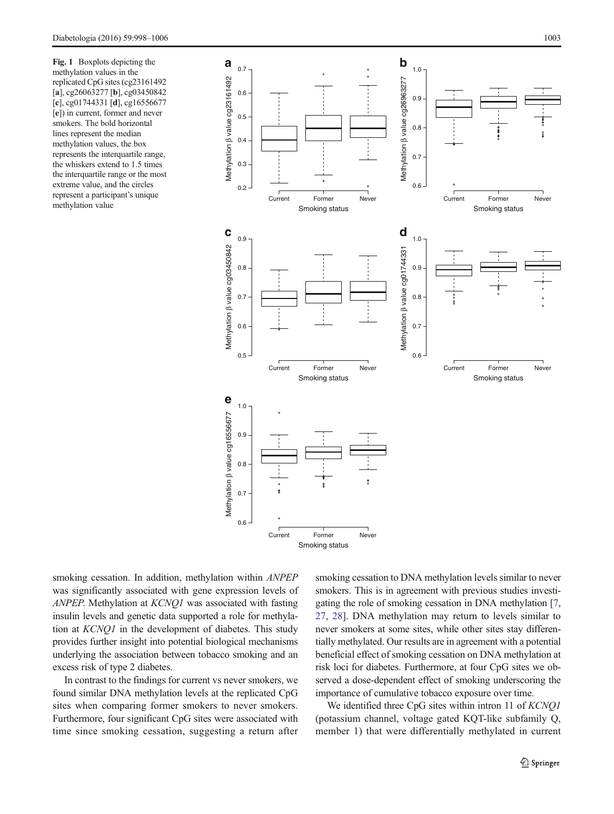<span id="page-5-0"></span>Fig. 1 Boxplots depicting the methylation values in the replicated CpG sites (cg23161492 [a], cg26063277 [b], cg03450842 [c], cg01744331 [d], cg16556677 [e]) in current, former and never smokers. The bold horizontal lines represent the median methylation values, the box represents the interquartile range, the whiskers extend to 1.5 times the interquartile range or the most extreme value, and the circles represent a participant's unique methylation value



smoking cessation. In addition, methylation within ANPEP was significantly associated with gene expression levels of ANPEP. Methylation at KCNQ1 was associated with fasting insulin levels and genetic data supported a role for methylation at KCNQ1 in the development of diabetes. This study provides further insight into potential biological mechanisms underlying the association between tobacco smoking and an excess risk of type 2 diabetes.

In contrast to the findings for current vs never smokers, we found similar DNA methylation levels at the replicated CpG sites when comparing former smokers to never smokers. Furthermore, four significant CpG sites were associated with time since smoking cessation, suggesting a return after smoking cessation to DNA methylation levels similar to never smokers. This is in agreement with previous studies investigating the role of smoking cessation in DNA methylation [[7,](#page-7-0) [27](#page-8-0), [28\]](#page-8-0). DNA methylation may return to levels similar to never smokers at some sites, while other sites stay differentially methylated. Our results are in agreement with a potential beneficial effect of smoking cessation on DNA methylation at risk loci for diabetes. Furthermore, at four CpG sites we observed a dose-dependent effect of smoking underscoring the importance of cumulative tobacco exposure over time.

We identified three CpG sites within intron 11 of KCNQ1 (potassium channel, voltage gated KQT-like subfamily Q, member 1) that were differentially methylated in current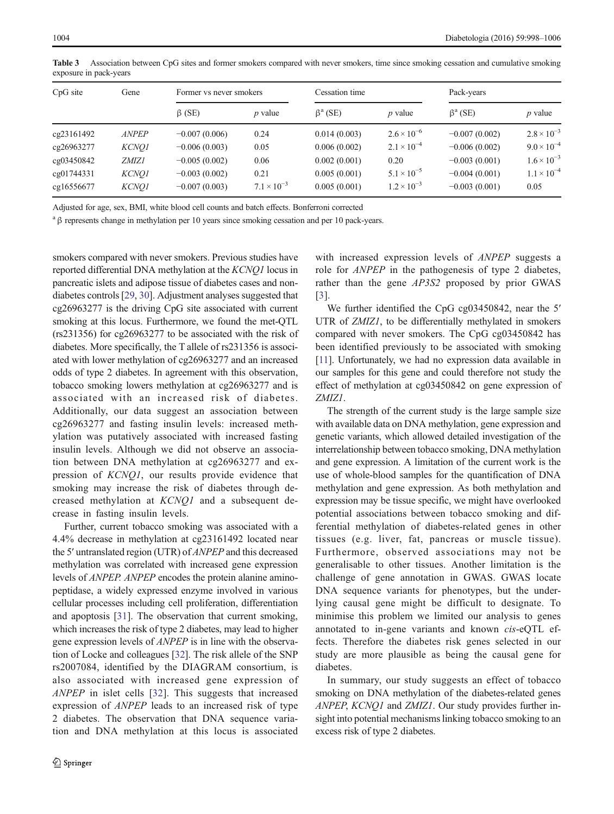| CpG site   | Gene         | Former vs never smokers |                      | Cessation time |                      | Pack-years      |                      |
|------------|--------------|-------------------------|----------------------|----------------|----------------------|-----------------|----------------------|
|            |              | $\beta$ (SE)            | <i>p</i> value       | $\beta^a$ (SE) | $p$ value            | $\beta^a$ (SE)  | $p$ value            |
| cg23161492 | <b>ANPEP</b> | $-0.007(0.006)$         | 0.24                 | 0.014(0.003)   | $2.6 \times 10^{-6}$ | $-0.007(0.002)$ | $2.8 \times 10^{-3}$ |
| cg26963277 | <i>KCNO1</i> | $-0.006(0.003)$         | 0.05                 | 0.006(0.002)   | $2.1 \times 10^{-4}$ | $-0.006(0.002)$ | $9.0 \times 10^{-4}$ |
| cg03450842 | <i>ZMIZ1</i> | $-0.005(0.002)$         | 0.06                 | 0.002(0.001)   | 0.20                 | $-0.003(0.001)$ | $1.6 \times 10^{-3}$ |
| cg01744331 | <b>KCNO1</b> | $-0.003(0.002)$         | 0.21                 | 0.005(0.001)   | $5.1 \times 10^{-5}$ | $-0.004(0.001)$ | $1.1 \times 10^{-4}$ |
| cg16556677 | <i>KCNO1</i> | $-0.007(0.003)$         | $7.1 \times 10^{-3}$ | 0.005(0.001)   | $1.2 \times 10^{-3}$ | $-0.003(0.001)$ | 0.05                 |

<span id="page-6-0"></span>Table 3 Association between CpG sites and former smokers compared with never smokers, time since smoking cessation and cumulative smoking exposure in pack-years

Adjusted for age, sex, BMI, white blood cell counts and batch effects. Bonferroni corrected

a β represents change in methylation per 10 years since smoking cessation and per 10 pack-years.

smokers compared with never smokers. Previous studies have reported differential DNA methylation at the KCNQ1 locus in pancreatic islets and adipose tissue of diabetes cases and nondiabetes controls [[29,](#page-8-0) [30\]](#page-8-0). Adjustment analyses suggested that cg26963277 is the driving CpG site associated with current smoking at this locus. Furthermore, we found the met-QTL (rs231356) for cg26963277 to be associated with the risk of diabetes. More specifically, the T allele of rs231356 is associated with lower methylation of cg26963277 and an increased odds of type 2 diabetes. In agreement with this observation, tobacco smoking lowers methylation at cg26963277 and is associated with an increased risk of diabetes. Additionally, our data suggest an association between cg26963277 and fasting insulin levels: increased methylation was putatively associated with increased fasting insulin levels. Although we did not observe an association between DNA methylation at cg26963277 and expression of KCNQ1, our results provide evidence that smoking may increase the risk of diabetes through decreased methylation at KCNQ1 and a subsequent decrease in fasting insulin levels.

Further, current tobacco smoking was associated with a 4.4% decrease in methylation at cg23161492 located near the 5′ untranslated region (UTR) of ANPEP and this decreased methylation was correlated with increased gene expression levels of ANPEP. ANPEP encodes the protein alanine aminopeptidase, a widely expressed enzyme involved in various cellular processes including cell proliferation, differentiation and apoptosis [[31\]](#page-8-0). The observation that current smoking, which increases the risk of type 2 diabetes, may lead to higher gene expression levels of ANPEP is in line with the observation of Locke and colleagues [[32](#page-8-0)]. The risk allele of the SNP rs2007084, identified by the DIAGRAM consortium, is also associated with increased gene expression of ANPEP in islet cells [\[32](#page-8-0)]. This suggests that increased expression of ANPEP leads to an increased risk of type 2 diabetes. The observation that DNA sequence variation and DNA methylation at this locus is associated

with increased expression levels of ANPEP suggests a role for ANPEP in the pathogenesis of type 2 diabetes, rather than the gene AP3S2 proposed by prior GWAS [\[3\]](#page-7-0).

We further identified the CpG cg03450842, near the 5′ UTR of *ZMIZ1*, to be differentially methylated in smokers compared with never smokers. The CpG cg03450842 has been identified previously to be associated with smoking [\[11\]](#page-7-0). Unfortunately, we had no expression data available in our samples for this gene and could therefore not study the effect of methylation at cg03450842 on gene expression of ZMIZ1.

The strength of the current study is the large sample size with available data on DNA methylation, gene expression and genetic variants, which allowed detailed investigation of the interrelationship between tobacco smoking, DNA methylation and gene expression. A limitation of the current work is the use of whole-blood samples for the quantification of DNA methylation and gene expression. As both methylation and expression may be tissue specific, we might have overlooked potential associations between tobacco smoking and differential methylation of diabetes-related genes in other tissues (e.g. liver, fat, pancreas or muscle tissue). Furthermore, observed associations may not be generalisable to other tissues. Another limitation is the challenge of gene annotation in GWAS. GWAS locate DNA sequence variants for phenotypes, but the underlying causal gene might be difficult to designate. To minimise this problem we limited our analysis to genes annotated to in-gene variants and known cis-eQTL effects. Therefore the diabetes risk genes selected in our study are more plausible as being the causal gene for diabetes.

In summary, our study suggests an effect of tobacco smoking on DNA methylation of the diabetes-related genes ANPEP, KCNQ1 and ZMIZ1. Our study provides further insight into potential mechanisms linking tobacco smoking to an excess risk of type 2 diabetes.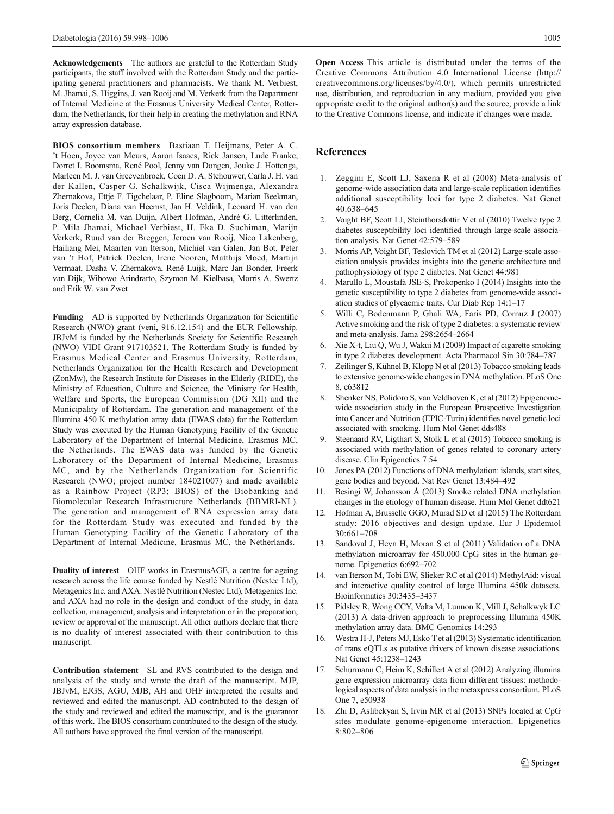<span id="page-7-0"></span>Acknowledgements The authors are grateful to the Rotterdam Study participants, the staff involved with the Rotterdam Study and the participating general practitioners and pharmacists. We thank M. Verbiest, M. Jhamai, S. Higgins, J. van Rooij and M. Verkerk from the Department of Internal Medicine at the Erasmus University Medical Center, Rotterdam, the Netherlands, for their help in creating the methylation and RNA array expression database.

BIOS consortium members Bastiaan T. Heijmans, Peter A. C. 't Hoen, Joyce van Meurs, Aaron Isaacs, Rick Jansen, Lude Franke, Dorret I. Boomsma, René Pool, Jenny van Dongen, Jouke J. Hottenga, Marleen M. J. van Greevenbroek, Coen D. A. Stehouwer, Carla J. H. van der Kallen, Casper G. Schalkwijk, Cisca Wijmenga, Alexandra Zhernakova, Ettje F. Tigchelaar, P. Eline Slagboom, Marian Beekman, Joris Deelen, Diana van Heemst, Jan H. Veldink, Leonard H. van den Berg, Cornelia M. van Duijn, Albert Hofman, André G. Uitterlinden, P. Mila Jhamai, Michael Verbiest, H. Eka D. Suchiman, Marijn Verkerk, Ruud van der Breggen, Jeroen van Rooij, Nico Lakenberg, Hailiang Mei, Maarten van Iterson, Michiel van Galen, Jan Bot, Peter van 't Hof, Patrick Deelen, Irene Nooren, Matthijs Moed, Martijn Vermaat, Dasha V. Zhernakova, René Luijk, Marc Jan Bonder, Freerk van Dijk, Wibowo Arindrarto, Szymon M. Kielbasa, Morris A. Swertz and Erik W. van Zwet

Funding AD is supported by Netherlands Organization for Scientific Research (NWO) grant (veni, 916.12.154) and the EUR Fellowship. JBJvM is funded by the Netherlands Society for Scientific Research (NWO) VIDI Grant 917103521. The Rotterdam Study is funded by Erasmus Medical Center and Erasmus University, Rotterdam, Netherlands Organization for the Health Research and Development (ZonMw), the Research Institute for Diseases in the Elderly (RIDE), the Ministry of Education, Culture and Science, the Ministry for Health, Welfare and Sports, the European Commission (DG XII) and the Municipality of Rotterdam. The generation and management of the Illumina 450 K methylation array data (EWAS data) for the Rotterdam Study was executed by the Human Genotyping Facility of the Genetic Laboratory of the Department of Internal Medicine, Erasmus MC, the Netherlands. The EWAS data was funded by the Genetic Laboratory of the Department of Internal Medicine, Erasmus MC, and by the Netherlands Organization for Scientific Research (NWO; project number 184021007) and made available as a Rainbow Project (RP3; BIOS) of the Biobanking and Biomolecular Research Infrastructure Netherlands (BBMRI-NL). The generation and management of RNA expression array data for the Rotterdam Study was executed and funded by the Human Genotyping Facility of the Genetic Laboratory of the Department of Internal Medicine, Erasmus MC, the Netherlands.

Duality of interest OHF works in ErasmusAGE, a centre for ageing research across the life course funded by Nestlé Nutrition (Nestec Ltd), Metagenics Inc. and AXA. Nestlé Nutrition (Nestec Ltd), Metagenics Inc. and AXA had no role in the design and conduct of the study, in data collection, management, analysis and interpretation or in the preparation, review or approval of the manuscript. All other authors declare that there is no duality of interest associated with their contribution to this manuscript.

Contribution statement SL and RVS contributed to the design and analysis of the study and wrote the draft of the manuscript. MJP, JBJvM, EJGS, AGU, MJB, AH and OHF interpreted the results and reviewed and edited the manuscript. AD contributed to the design of the study and reviewed and edited the manuscript, and is the guarantor of this work. The BIOS consortium contributed to the design of the study. All authors have approved the final version of the manuscript.

Open Access This article is distributed under the terms of the Creative Commons Attribution 4.0 International License (http:// creativecommons.org/licenses/by/4.0/), which permits unrestricted use, distribution, and reproduction in any medium, provided you give appropriate credit to the original author(s) and the source, provide a link to the Creative Commons license, and indicate if changes were made.

#### References

- 1. Zeggini E, Scott LJ, Saxena R et al (2008) Meta-analysis of genome-wide association data and large-scale replication identifies additional susceptibility loci for type 2 diabetes. Nat Genet 40:638–645
- 2. Voight BF, Scott LJ, Steinthorsdottir V et al (2010) Twelve type 2 diabetes susceptibility loci identified through large-scale association analysis. Nat Genet 42:579–589
- 3. Morris AP, Voight BF, Teslovich TM et al (2012) Large-scale association analysis provides insights into the genetic architecture and pathophysiology of type 2 diabetes. Nat Genet 44:981
- 4. Marullo L, Moustafa JSE-S, Prokopenko I (2014) Insights into the genetic susceptibility to type 2 diabetes from genome-wide association studies of glycaemic traits. Cur Diab Rep 14:1–17
- 5. Willi C, Bodenmann P, Ghali WA, Faris PD, Cornuz J (2007) Active smoking and the risk of type 2 diabetes: a systematic review and meta-analysis. Jama 298:2654–2664
- 6. Xie X-t, Liu Q, Wu J, Wakui M (2009) Impact of cigarette smoking in type 2 diabetes development. Acta Pharmacol Sin 30:784–787
- 7. Zeilinger S, Kühnel B, Klopp N et al (2013) Tobacco smoking leads to extensive genome-wide changes in DNA methylation. PLoS One 8, e63812
- 8. Shenker NS, Polidoro S, van Veldhoven K, et al (2012) Epigenomewide association study in the European Prospective Investigation into Cancer and Nutrition (EPIC-Turin) identifies novel genetic loci associated with smoking. Hum Mol Genet dds488
- 9. Steenaard RV, Ligthart S, Stolk L et al (2015) Tobacco smoking is associated with methylation of genes related to coronary artery disease. Clin Epigenetics 7:54
- 10. Jones PA (2012) Functions of DNA methylation: islands, start sites, gene bodies and beyond. Nat Rev Genet 13:484–492
- 11. Besingi W, Johansson Å (2013) Smoke related DNA methylation changes in the etiology of human disease. Hum Mol Genet ddt621
- 12. Hofman A, Brusselle GGO, Murad SD et al (2015) The Rotterdam study: 2016 objectives and design update. Eur J Epidemiol 30:661–708
- 13. Sandoval J, Heyn H, Moran S et al (2011) Validation of a DNA methylation microarray for 450,000 CpG sites in the human genome. Epigenetics 6:692–702
- 14. van Iterson M, Tobi EW, Slieker RC et al (2014) MethylAid: visual and interactive quality control of large Illumina 450k datasets. Bioinformatics 30:3435–3437
- 15. Pidsley R, Wong CCY, Volta M, Lunnon K, Mill J, Schalkwyk LC (2013) A data-driven approach to preprocessing Illumina 450K methylation array data. BMC Genomics 14:293
- 16. Westra H-J, Peters MJ, Esko T et al (2013) Systematic identification of trans eQTLs as putative drivers of known disease associations. Nat Genet 45:1238–1243
- 17. Schurmann C, Heim K, Schillert A et al (2012) Analyzing illumina gene expression microarray data from different tissues: methodological aspects of data analysis in the metaxpress consortium. PLoS One 7, e50938
- 18. Zhi D, Aslibekyan S, Irvin MR et al (2013) SNPs located at CpG sites modulate genome-epigenome interaction. Epigenetics 8:802–806